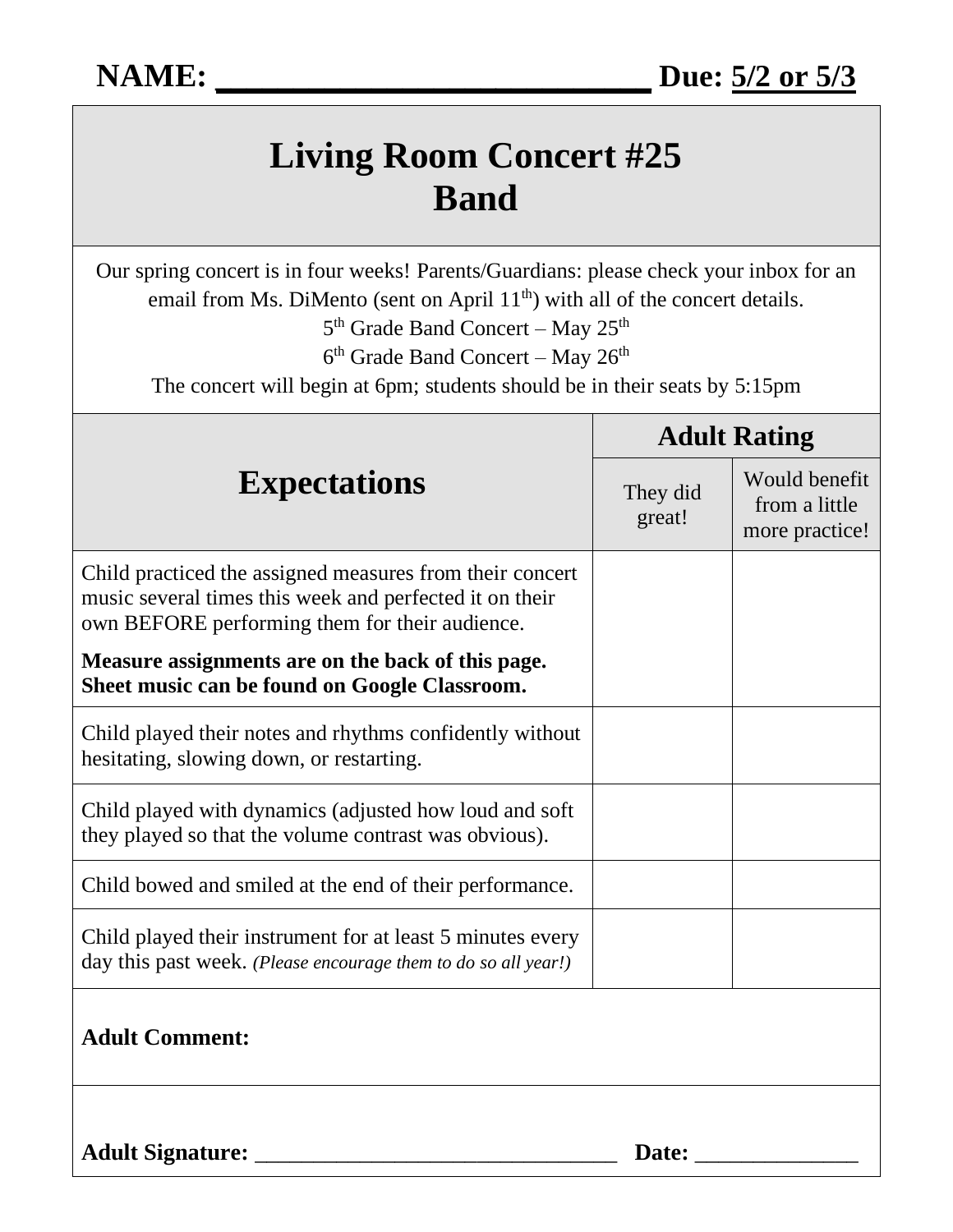# **Living Room Concert #25 Band**

Our spring concert is in four weeks! Parents/Guardians: please check your inbox for an email from Ms. DiMento (sent on April 11<sup>th</sup>) with all of the concert details.

5<sup>th</sup> Grade Band Concert – May 25<sup>th</sup>

6<sup>th</sup> Grade Band Concert – May 26<sup>th</sup>

The concert will begin at 6pm; students should be in their seats by 5:15pm

| <b>Expectations</b>                                                                                                                                                   | <b>Adult Rating</b> |                                                  |
|-----------------------------------------------------------------------------------------------------------------------------------------------------------------------|---------------------|--------------------------------------------------|
|                                                                                                                                                                       | They did<br>great!  | Would benefit<br>from a little<br>more practice! |
| Child practiced the assigned measures from their concert<br>music several times this week and perfected it on their<br>own BEFORE performing them for their audience. |                     |                                                  |
| Measure assignments are on the back of this page.<br>Sheet music can be found on Google Classroom.                                                                    |                     |                                                  |
| Child played their notes and rhythms confidently without<br>hesitating, slowing down, or restarting.                                                                  |                     |                                                  |
| Child played with dynamics (adjusted how loud and soft<br>they played so that the volume contrast was obvious).                                                       |                     |                                                  |
| Child bowed and smiled at the end of their performance.                                                                                                               |                     |                                                  |
| Child played their instrument for at least 5 minutes every<br>day this past week. (Please encourage them to do so all year!)                                          |                     |                                                  |
| <b>Adult Comment:</b>                                                                                                                                                 |                     |                                                  |
| <b>Adult Signature:</b>                                                                                                                                               | Date:               |                                                  |